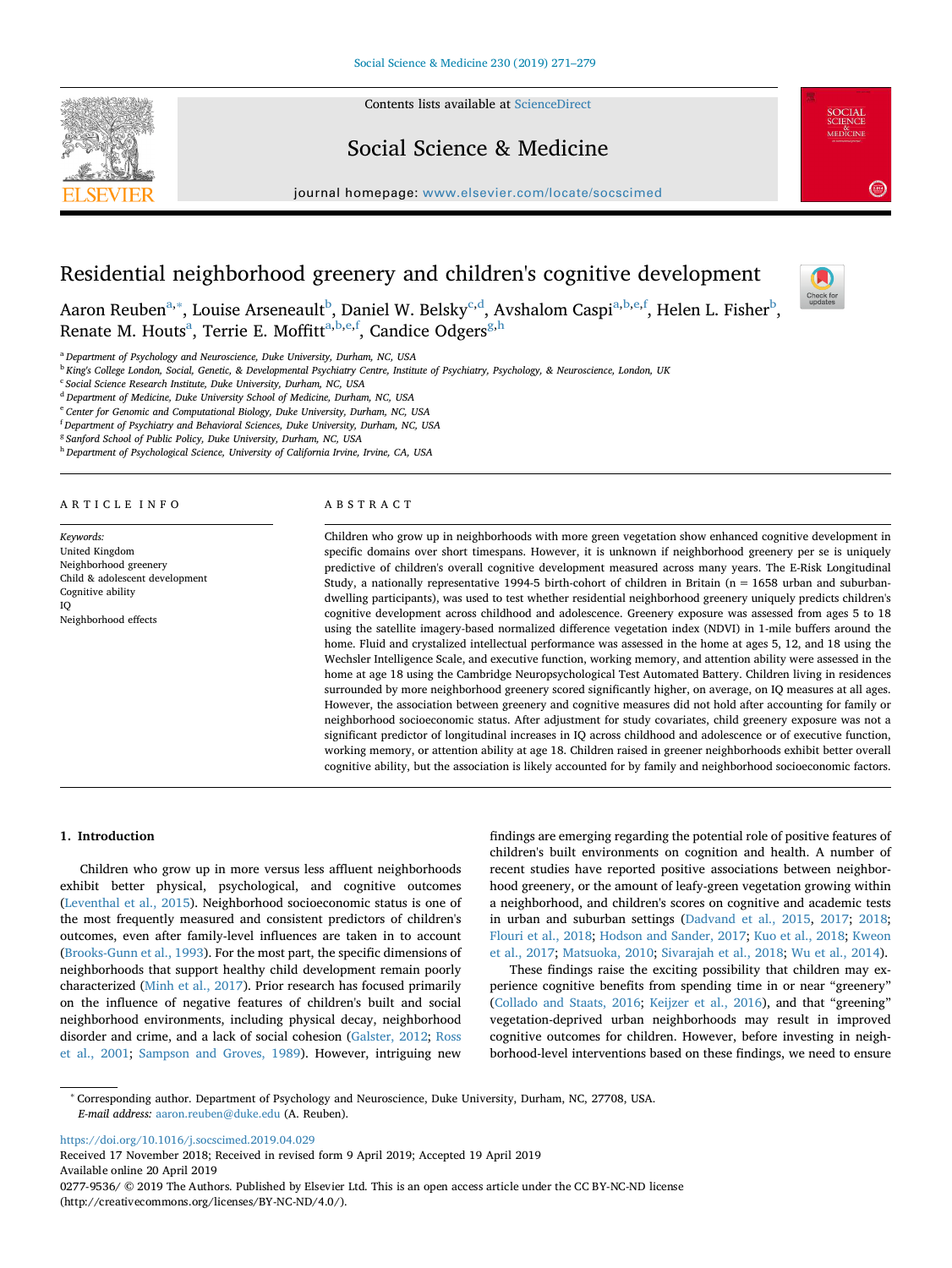

Contents lists available at [ScienceDirect](http://www.sciencedirect.com/science/journal/02779536)

# Social Science & Medicine

journal homepage: [www.elsevier.com/locate/socscimed](https://www.elsevier.com/locate/socscimed)



# Residential neighborhood greenery and children's cognitive development



Aaron Reuben<sup>a,[∗](#page-0-1)</sup>, Louise Arseneault<sup>b</sup>, Daniel W. Belsky<sup>[c,](#page-0-3)[d](#page-0-4)</sup>, Avshalom Caspi<sup>[a,](#page-0-0)[b](#page-0-2),[e](#page-0-5),[f](#page-0-6)</sup>, Helen L. Fisher<sup>b</sup>, Renate M. Houts<sup>a</sup>, Terrie E. Moffitt<sup>a,[b](#page-0-2)[,e](#page-0-5)[,f](#page-0-6)</sup>, Candice Od[g](#page-0-7)ers<sup>g[,h](#page-0-8)</sup>

<span id="page-0-0"></span><sup>a</sup> *Department of Psychology and Neuroscience, Duke University, Durham, NC, USA*

<span id="page-0-2"></span><sup>b</sup> *King's College London, Social, Genetic, & Developmental Psychiatry Centre, Institute of Psychiatry, Psychology, & Neuroscience, London, UK*

<span id="page-0-3"></span><sup>c</sup> *Social Science Research Institute, Duke University, Durham, NC, USA*

<span id="page-0-4"></span><sup>d</sup> *Department of Medicine, Duke University School of Medicine, Durham, NC, USA*

<span id="page-0-5"></span><sup>e</sup> *Center for Genomic and Computational Biology, Duke University, Durham, NC, USA*

<span id="page-0-6"></span>f *Department of Psychiatry and Behavioral Sciences, Duke University, Durham, NC, USA*

<span id="page-0-7"></span><sup>g</sup> *Sanford School of Public Policy, Duke University, Durham, NC, USA*

<span id="page-0-8"></span><sup>h</sup> *Department of Psychological Science, University of California Irvine, Irvine, CA, USA*

#### ARTICLE INFO

*Keywords:* United Kingdom Neighborhood greenery Child & adolescent development Cognitive ability IQ Neighborhood effects

#### ABSTRACT

Children who grow up in neighborhoods with more green vegetation show enhanced cognitive development in specific domains over short timespans. However, it is unknown if neighborhood greenery per se is uniquely predictive of children's overall cognitive development measured across many years. The E-Risk Longitudinal Study, a nationally representative 1994-5 birth-cohort of children in Britain (n = 1658 urban and suburbandwelling participants), was used to test whether residential neighborhood greenery uniquely predicts children's cognitive development across childhood and adolescence. Greenery exposure was assessed from ages 5 to 18 using the satellite imagery-based normalized difference vegetation index (NDVI) in 1-mile buffers around the home. Fluid and crystalized intellectual performance was assessed in the home at ages 5, 12, and 18 using the Wechsler Intelligence Scale, and executive function, working memory, and attention ability were assessed in the home at age 18 using the Cambridge Neuropsychological Test Automated Battery. Children living in residences surrounded by more neighborhood greenery scored significantly higher, on average, on IQ measures at all ages. However, the association between greenery and cognitive measures did not hold after accounting for family or neighborhood socioeconomic status. After adjustment for study covariates, child greenery exposure was not a significant predictor of longitudinal increases in IQ across childhood and adolescence or of executive function, working memory, or attention ability at age 18. Children raised in greener neighborhoods exhibit better overall cognitive ability, but the association is likely accounted for by family and neighborhood socioeconomic factors.

# **1. Introduction**

Children who grow up in more versus less affluent neighborhoods exhibit better physical, psychological, and cognitive outcomes ([Leventhal et al., 2015\)](#page-8-0). Neighborhood socioeconomic status is one of the most frequently measured and consistent predictors of children's outcomes, even after family-level influences are taken in to account ([Brooks-Gunn et al., 1993](#page-7-0)). For the most part, the specific dimensions of neighborhoods that support healthy child development remain poorly characterized ([Minh et al., 2017](#page-8-1)). Prior research has focused primarily on the influence of negative features of children's built and social neighborhood environments, including physical decay, neighborhood disorder and crime, and a lack of social cohesion ([Galster, 2012;](#page-8-2) [Ross](#page-8-3) [et al., 2001;](#page-8-3) [Sampson and Groves, 1989](#page-8-4)). However, intriguing new

findings are emerging regarding the potential role of positive features of children's built environments on cognition and health. A number of recent studies have reported positive associations between neighborhood greenery, or the amount of leafy-green vegetation growing within a neighborhood, and children's scores on cognitive and academic tests in urban and suburban settings [\(Dadvand et al., 2015](#page-7-1), [2017](#page-7-2); [2018](#page-7-3); [Flouri et al., 2018;](#page-8-5) [Hodson and Sander, 2017](#page-8-6); [Kuo et al., 2018;](#page-8-7) [Kweon](#page-8-8) [et al., 2017](#page-8-8); [Matsuoka, 2010](#page-8-9); [Sivarajah et al., 2018](#page-8-10); [Wu et al., 2014\)](#page-8-11).

These findings raise the exciting possibility that children may experience cognitive benefits from spending time in or near "greenery" ([Collado and Staats, 2016](#page-7-4); [Keijzer et al., 2016\)](#page-8-12), and that "greening" vegetation-deprived urban neighborhoods may result in improved cognitive outcomes for children. However, before investing in neighborhood-level interventions based on these findings, we need to ensure

<span id="page-0-1"></span><sup>∗</sup> Corresponding author. Department of Psychology and Neuroscience, Duke University, Durham, NC, 27708, USA. *E-mail address:* [aaron.reuben@duke.edu](mailto:aaron.reuben@duke.edu) (A. Reuben).

<https://doi.org/10.1016/j.socscimed.2019.04.029>

Received 17 November 2018; Received in revised form 9 April 2019; Accepted 19 April 2019 Available online 20 April 2019

0277-9536/ © 2019 The Authors. Published by Elsevier Ltd. This is an open access article under the CC BY-NC-ND license (http://creativecommons.org/licenses/BY-NC-ND/4.0/).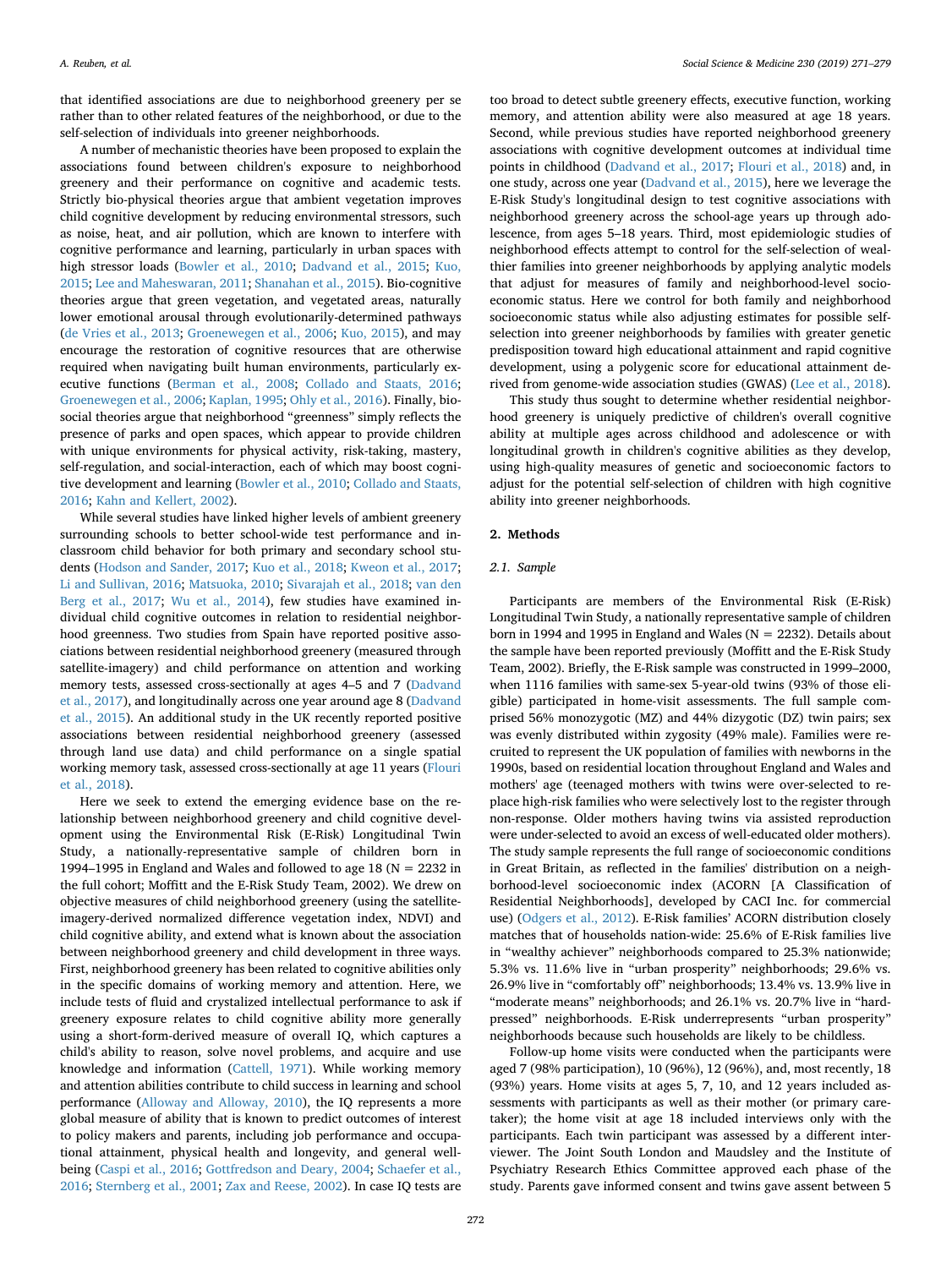that identified associations are due to neighborhood greenery per se rather than to other related features of the neighborhood, or due to the self-selection of individuals into greener neighborhoods.

A number of mechanistic theories have been proposed to explain the associations found between children's exposure to neighborhood greenery and their performance on cognitive and academic tests. Strictly bio-physical theories argue that ambient vegetation improves child cognitive development by reducing environmental stressors, such as noise, heat, and air pollution, which are known to interfere with cognitive performance and learning, particularly in urban spaces with high stressor loads [\(Bowler et al., 2010](#page-7-5); [Dadvand et al., 2015;](#page-7-1) [Kuo,](#page-8-13) [2015;](#page-8-13) [Lee and Maheswaran, 2011](#page-8-14); [Shanahan et al., 2015](#page-8-15)). Bio-cognitive theories argue that green vegetation, and vegetated areas, naturally lower emotional arousal through evolutionarily-determined pathways ([de Vries et al., 2013;](#page-8-16) [Groenewegen et al., 2006;](#page-8-17) [Kuo, 2015](#page-8-13)), and may encourage the restoration of cognitive resources that are otherwise required when navigating built human environments, particularly executive functions ([Berman et al., 2008](#page-7-6); [Collado and Staats, 2016](#page-7-4); [Groenewegen et al., 2006;](#page-8-17) [Kaplan, 1995](#page-8-18); [Ohly et al., 2016\)](#page-8-19). Finally, biosocial theories argue that neighborhood "greenness" simply reflects the presence of parks and open spaces, which appear to provide children with unique environments for physical activity, risk-taking, mastery, self-regulation, and social-interaction, each of which may boost cognitive development and learning [\(Bowler et al., 2010;](#page-7-5) [Collado and Staats,](#page-7-4) [2016;](#page-7-4) [Kahn and Kellert, 2002](#page-8-20)).

While several studies have linked higher levels of ambient greenery surrounding schools to better school-wide test performance and inclassroom child behavior for both primary and secondary school students ([Hodson and Sander, 2017](#page-8-6); [Kuo et al., 2018;](#page-8-7) [Kweon et al., 2017](#page-8-8); [Li and Sullivan, 2016;](#page-8-21) [Matsuoka, 2010](#page-8-9); [Sivarajah et al., 2018;](#page-8-10) [van den](#page-8-22) [Berg et al., 2017;](#page-8-22) [Wu et al., 2014](#page-8-11)), few studies have examined individual child cognitive outcomes in relation to residential neighborhood greenness. Two studies from Spain have reported positive associations between residential neighborhood greenery (measured through satellite-imagery) and child performance on attention and working memory tests, assessed cross-sectionally at ages 4–5 and 7 [\(Dadvand](#page-7-2) [et al., 2017](#page-7-2)), and longitudinally across one year around age 8 [\(Dadvand](#page-7-1) [et al., 2015\)](#page-7-1). An additional study in the UK recently reported positive associations between residential neighborhood greenery (assessed through land use data) and child performance on a single spatial working memory task, assessed cross-sectionally at age 11 years ([Flouri](#page-8-5) [et al., 2018](#page-8-5)).

Here we seek to extend the emerging evidence base on the relationship between neighborhood greenery and child cognitive development using the Environmental Risk (E-Risk) Longitudinal Twin Study, a nationally-representative sample of children born in 1994–1995 in England and Wales and followed to age 18 ( $N = 2232$  in the full cohort; Moffitt and the E-Risk Study Team, 2002). We drew on objective measures of child neighborhood greenery (using the satelliteimagery-derived normalized difference vegetation index, NDVI) and child cognitive ability, and extend what is known about the association between neighborhood greenery and child development in three ways. First, neighborhood greenery has been related to cognitive abilities only in the specific domains of working memory and attention. Here, we include tests of fluid and crystalized intellectual performance to ask if greenery exposure relates to child cognitive ability more generally using a short-form-derived measure of overall IQ, which captures a child's ability to reason, solve novel problems, and acquire and use knowledge and information [\(Cattell, 1971\)](#page-7-7). While working memory and attention abilities contribute to child success in learning and school performance [\(Alloway and Alloway, 2010](#page-7-8)), the IQ represents a more global measure of ability that is known to predict outcomes of interest to policy makers and parents, including job performance and occupational attainment, physical health and longevity, and general wellbeing [\(Caspi et al., 2016](#page-7-9); [Gottfredson and Deary, 2004;](#page-8-23) [Schaefer et al.,](#page-8-24) [2016;](#page-8-24) [Sternberg et al., 2001;](#page-8-25) [Zax and Reese, 2002](#page-8-26)). In case IQ tests are

too broad to detect subtle greenery effects, executive function, working memory, and attention ability were also measured at age 18 years. Second, while previous studies have reported neighborhood greenery associations with cognitive development outcomes at individual time points in childhood ([Dadvand et al., 2017;](#page-7-2) [Flouri et al., 2018\)](#page-8-5) and, in one study, across one year [\(Dadvand et al., 2015](#page-7-1)), here we leverage the E-Risk Study's longitudinal design to test cognitive associations with neighborhood greenery across the school-age years up through adolescence, from ages 5–18 years. Third, most epidemiologic studies of neighborhood effects attempt to control for the self-selection of wealthier families into greener neighborhoods by applying analytic models that adjust for measures of family and neighborhood-level socioeconomic status. Here we control for both family and neighborhood socioeconomic status while also adjusting estimates for possible selfselection into greener neighborhoods by families with greater genetic predisposition toward high educational attainment and rapid cognitive development, using a polygenic score for educational attainment derived from genome-wide association studies (GWAS) ([Lee et al., 2018](#page-8-27)).

This study thus sought to determine whether residential neighborhood greenery is uniquely predictive of children's overall cognitive ability at multiple ages across childhood and adolescence or with longitudinal growth in children's cognitive abilities as they develop, using high-quality measures of genetic and socioeconomic factors to adjust for the potential self-selection of children with high cognitive ability into greener neighborhoods.

#### **2. Methods**

#### *2.1. Sample*

Participants are members of the Environmental Risk (E-Risk) Longitudinal Twin Study, a nationally representative sample of children born in 1994 and 1995 in England and Wales ( $N = 2232$ ). Details about the sample have been reported previously (Moffitt and the E-Risk Study Team, 2002). Briefly, the E-Risk sample was constructed in 1999–2000, when 1116 families with same-sex 5-year-old twins (93% of those eligible) participated in home-visit assessments. The full sample comprised 56% monozygotic (MZ) and 44% dizygotic (DZ) twin pairs; sex was evenly distributed within zygosity (49% male). Families were recruited to represent the UK population of families with newborns in the 1990s, based on residential location throughout England and Wales and mothers' age (teenaged mothers with twins were over-selected to replace high-risk families who were selectively lost to the register through non-response. Older mothers having twins via assisted reproduction were under-selected to avoid an excess of well-educated older mothers). The study sample represents the full range of socioeconomic conditions in Great Britain, as reflected in the families' distribution on a neighborhood-level socioeconomic index (ACORN [A Classification of Residential Neighborhoods], developed by CACI Inc. for commercial use) ([Odgers et al., 2012\)](#page-8-28). E-Risk families' ACORN distribution closely matches that of households nation-wide: 25.6% of E-Risk families live in "wealthy achiever" neighborhoods compared to 25.3% nationwide; 5.3% vs. 11.6% live in "urban prosperity" neighborhoods; 29.6% vs. 26.9% live in "comfortably off" neighborhoods; 13.4% vs. 13.9% live in "moderate means" neighborhoods; and 26.1% vs. 20.7% live in "hardpressed" neighborhoods. E-Risk underrepresents "urban prosperity" neighborhoods because such households are likely to be childless.

Follow-up home visits were conducted when the participants were aged 7 (98% participation), 10 (96%), 12 (96%), and, most recently, 18 (93%) years. Home visits at ages 5, 7, 10, and 12 years included assessments with participants as well as their mother (or primary caretaker); the home visit at age 18 included interviews only with the participants. Each twin participant was assessed by a different interviewer. The Joint South London and Maudsley and the Institute of Psychiatry Research Ethics Committee approved each phase of the study. Parents gave informed consent and twins gave assent between 5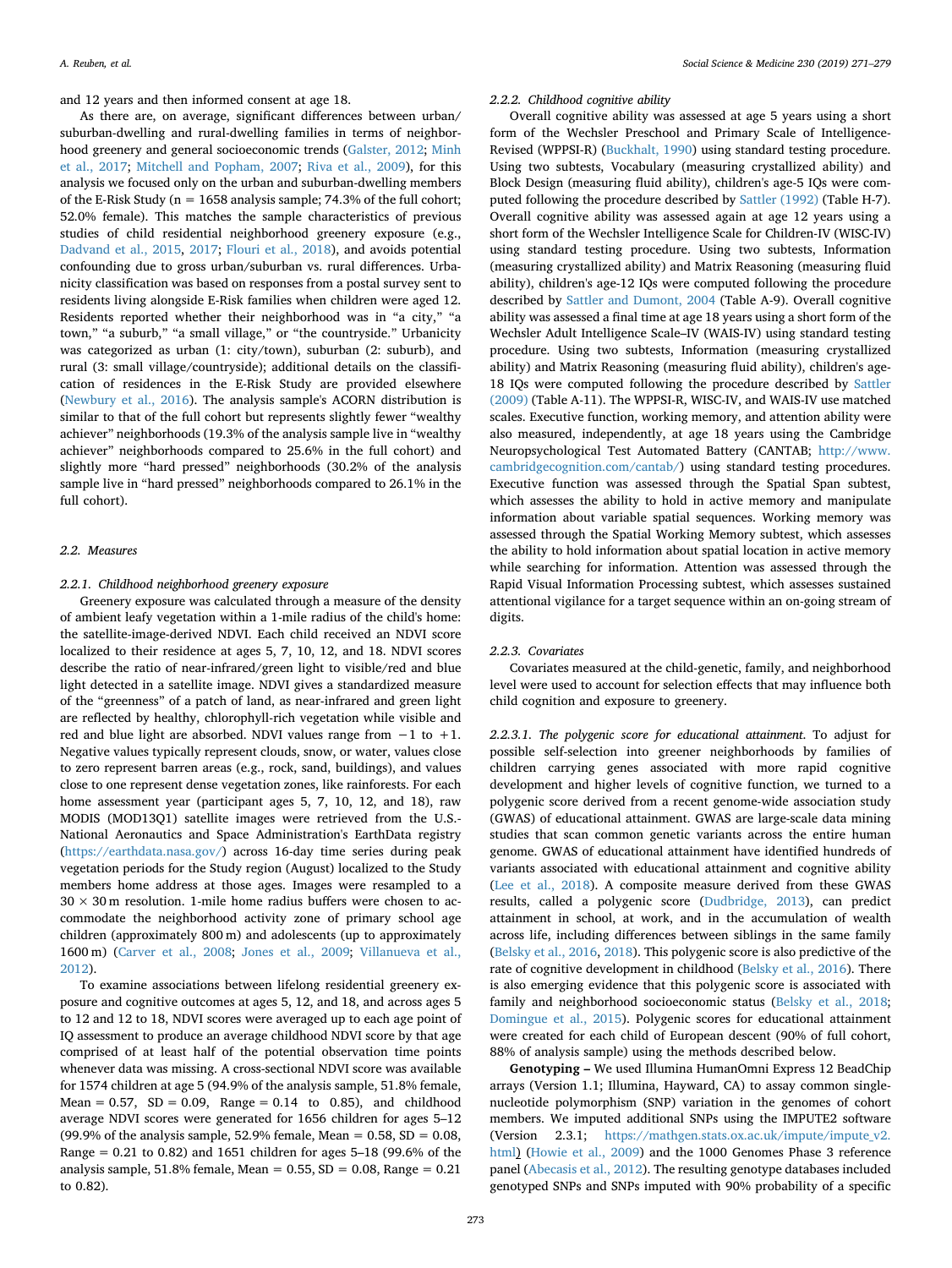and 12 years and then informed consent at age 18.

As there are, on average, significant differences between urban/ suburban-dwelling and rural-dwelling families in terms of neighborhood greenery and general socioeconomic trends ([Galster, 2012](#page-8-2); [Minh](#page-8-1) [et al., 2017;](#page-8-1) [Mitchell and Popham, 2007;](#page-8-29) [Riva et al., 2009\)](#page-8-30), for this analysis we focused only on the urban and suburban-dwelling members of the E-Risk Study ( $n = 1658$  analysis sample; 74.3% of the full cohort; 52.0% female). This matches the sample characteristics of previous studies of child residential neighborhood greenery exposure (e.g., [Dadvand et al., 2015](#page-7-1), [2017;](#page-7-2) [Flouri et al., 2018](#page-8-5)), and avoids potential confounding due to gross urban/suburban vs. rural differences. Urbanicity classification was based on responses from a postal survey sent to residents living alongside E-Risk families when children were aged 12. Residents reported whether their neighborhood was in "a city," "a town," "a suburb," "a small village," or "the countryside." Urbanicity was categorized as urban (1: city/town), suburban (2: suburb), and rural (3: small village/countryside); additional details on the classification of residences in the E-Risk Study are provided elsewhere ([Newbury et al., 2016](#page-8-31)). The analysis sample's ACORN distribution is similar to that of the full cohort but represents slightly fewer "wealthy achiever" neighborhoods (19.3% of the analysis sample live in "wealthy achiever" neighborhoods compared to 25.6% in the full cohort) and slightly more "hard pressed" neighborhoods (30.2% of the analysis sample live in "hard pressed" neighborhoods compared to 26.1% in the full cohort).

#### *2.2. Measures*

# *2.2.1. Childhood neighborhood greenery exposure*

Greenery exposure was calculated through a measure of the density of ambient leafy vegetation within a 1-mile radius of the child's home: the satellite-image-derived NDVI. Each child received an NDVI score localized to their residence at ages 5, 7, 10, 12, and 18. NDVI scores describe the ratio of near-infrared/green light to visible/red and blue light detected in a satellite image. NDVI gives a standardized measure of the "greenness" of a patch of land, as near-infrared and green light are reflected by healthy, chlorophyll-rich vegetation while visible and red and blue light are absorbed. NDVI values range from −1 to +1. Negative values typically represent clouds, snow, or water, values close to zero represent barren areas (e.g., rock, sand, buildings), and values close to one represent dense vegetation zones, like rainforests. For each home assessment year (participant ages 5, 7, 10, 12, and 18), raw MODIS (MOD13Q1) satellite images were retrieved from the U.S.- National Aeronautics and Space Administration's EarthData registry ([https://earthdata.nasa.gov/\)](https://earthdata.nasa.gov/) across 16-day time series during peak vegetation periods for the Study region (August) localized to the Study members home address at those ages. Images were resampled to a  $30 \times 30$  m resolution. 1-mile home radius buffers were chosen to accommodate the neighborhood activity zone of primary school age children (approximately 800 m) and adolescents (up to approximately 1600 m) ([Carver et al., 2008](#page-7-10); [Jones et al., 2009;](#page-8-32) [Villanueva et al.,](#page-8-33) [2012\)](#page-8-33).

To examine associations between lifelong residential greenery exposure and cognitive outcomes at ages 5, 12, and 18, and across ages 5 to 12 and 12 to 18, NDVI scores were averaged up to each age point of IQ assessment to produce an average childhood NDVI score by that age comprised of at least half of the potential observation time points whenever data was missing. A cross-sectional NDVI score was available for 1574 children at age 5 (94.9% of the analysis sample, 51.8% female, Mean =  $0.57$ , SD =  $0.09$ , Range =  $0.14$  to  $0.85$ ), and childhood average NDVI scores were generated for 1656 children for ages 5–12 (99.9% of the analysis sample, 52.9% female, Mean =  $0.58$ , SD =  $0.08$ , Range = 0.21 to 0.82) and 1651 children for ages 5–18 (99.6% of the analysis sample,  $51.8\%$  female, Mean = 0.55, SD = 0.08, Range = 0.21 to 0.82).

# *2.2.2. Childhood cognitive ability*

Overall cognitive ability was assessed at age 5 years using a short form of the Wechsler Preschool and Primary Scale of Intelligence-Revised (WPPSI-R) [\(Buckhalt, 1990](#page-7-11)) using standard testing procedure. Using two subtests, Vocabulary (measuring crystallized ability) and Block Design (measuring fluid ability), children's age-5 IQs were computed following the procedure described by [Sattler \(1992\)](#page-8-34) (Table H-7). Overall cognitive ability was assessed again at age 12 years using a short form of the Wechsler Intelligence Scale for Children-IV (WISC-IV) using standard testing procedure. Using two subtests, Information (measuring crystallized ability) and Matrix Reasoning (measuring fluid ability), children's age-12 IQs were computed following the procedure described by [Sattler and Dumont, 2004](#page-8-35) (Table A-9). Overall cognitive ability was assessed a final time at age 18 years using a short form of the Wechsler Adult Intelligence Scale–IV (WAIS-IV) using standard testing procedure. Using two subtests, Information (measuring crystallized ability) and Matrix Reasoning (measuring fluid ability), children's age-18 IQs were computed following the procedure described by [Sattler](#page-8-36) [\(2009\)](#page-8-36) (Table A-11). The WPPSI-R, WISC-IV, and WAIS-IV use matched scales. Executive function, working memory, and attention ability were also measured, independently, at age 18 years using the Cambridge Neuropsychological Test Automated Battery (CANTAB; [http://www.](http://www.cambridgecognition.com/cantab/) [cambridgecognition.com/cantab/](http://www.cambridgecognition.com/cantab/)) using standard testing procedures. Executive function was assessed through the Spatial Span subtest, which assesses the ability to hold in active memory and manipulate information about variable spatial sequences. Working memory was assessed through the Spatial Working Memory subtest, which assesses the ability to hold information about spatial location in active memory while searching for information. Attention was assessed through the Rapid Visual Information Processing subtest, which assesses sustained attentional vigilance for a target sequence within an on-going stream of digits.

### *2.2.3. Covariates*

Covariates measured at the child-genetic, family, and neighborhood level were used to account for selection effects that may influence both child cognition and exposure to greenery.

*2.2.3.1. The polygenic score for educational attainment*. To adjust for possible self-selection into greener neighborhoods by families of children carrying genes associated with more rapid cognitive development and higher levels of cognitive function, we turned to a polygenic score derived from a recent genome-wide association study (GWAS) of educational attainment. GWAS are large-scale data mining studies that scan common genetic variants across the entire human genome. GWAS of educational attainment have identified hundreds of variants associated with educational attainment and cognitive ability ([Lee et al., 2018](#page-8-27)). A composite measure derived from these GWAS results, called a polygenic score ([Dudbridge, 2013\)](#page-8-37), can predict attainment in school, at work, and in the accumulation of wealth across life, including differences between siblings in the same family ([Belsky et al., 2016,](#page-7-12) [2018](#page-7-13)). This polygenic score is also predictive of the rate of cognitive development in childhood ([Belsky et al., 2016\)](#page-7-12). There is also emerging evidence that this polygenic score is associated with family and neighborhood socioeconomic status ([Belsky et al., 2018](#page-7-13); [Domingue et al., 2015](#page-8-38)). Polygenic scores for educational attainment were created for each child of European descent (90% of full cohort, 88% of analysis sample) using the methods described below.

**Genotyping –** We used Illumina HumanOmni Express 12 BeadChip arrays (Version 1.1; Illumina, Hayward, CA) to assay common singlenucleotide polymorphism (SNP) variation in the genomes of cohort members. We imputed additional SNPs using the IMPUTE2 software (Version 2.3.1; [https://mathgen.stats.ox.ac.uk/impute/impute\\_v2.](https://mathgen.stats.ox.ac.uk/impute/impute_v2.html) [html](https://mathgen.stats.ox.ac.uk/impute/impute_v2.html)) [\(Howie et al., 2009](#page-8-39)) and the 1000 Genomes Phase 3 reference panel ([Abecasis et al., 2012](#page-7-14)). The resulting genotype databases included genotyped SNPs and SNPs imputed with 90% probability of a specific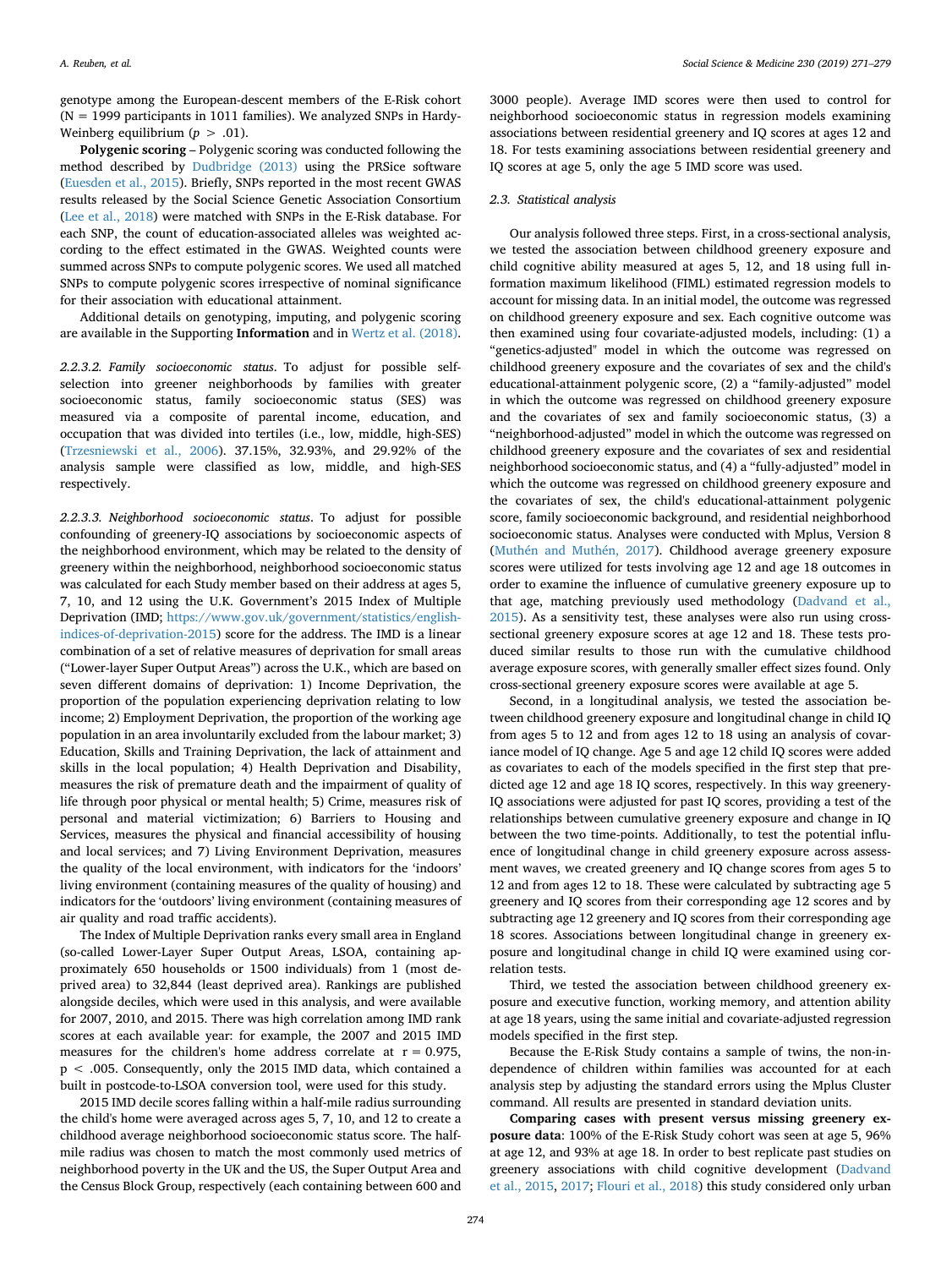genotype among the European-descent members of the E-Risk cohort  $(N = 1999$  participants in 1011 families). We analyzed SNPs in Hardy-Weinberg equilibrium  $(p > .01)$ .

**Polygenic scoring** – Polygenic scoring was conducted following the method described by [Dudbridge \(2013\)](#page-8-37) using the PRSice software ([Euesden et al., 2015](#page-8-40)). Briefly, SNPs reported in the most recent GWAS results released by the Social Science Genetic Association Consortium ([Lee et al., 2018\)](#page-8-27) were matched with SNPs in the E-Risk database. For each SNP, the count of education-associated alleles was weighted according to the effect estimated in the GWAS. Weighted counts were summed across SNPs to compute polygenic scores. We used all matched SNPs to compute polygenic scores irrespective of nominal significance for their association with educational attainment.

Additional details on genotyping, imputing, and polygenic scoring are available in the Supporting **Information** and in [Wertz et al. \(2018\)](#page-8-41).

*2.2.3.2. Family socioeconomic status*. To adjust for possible selfselection into greener neighborhoods by families with greater socioeconomic status, family socioeconomic status (SES) was measured via a composite of parental income, education, and occupation that was divided into tertiles (i.e., low, middle, high-SES) ([Trzesniewski et al., 2006\)](#page-8-42). 37.15%, 32.93%, and 29.92% of the analysis sample were classified as low, middle, and high-SES respectively.

*2.2.3.3. Neighborhood socioeconomic status*. To adjust for possible confounding of greenery-IQ associations by socioeconomic aspects of the neighborhood environment, which may be related to the density of greenery within the neighborhood, neighborhood socioeconomic status was calculated for each Study member based on their address at ages 5, 7, 10, and 12 using the U.K. Government's 2015 Index of Multiple Deprivation (IMD; [https://www.gov.uk/government/statistics/english](https://www.gov.uk/government/statistics/english-indices-of-deprivation-2015)[indices-of-deprivation-2015](https://www.gov.uk/government/statistics/english-indices-of-deprivation-2015)) score for the address. The IMD is a linear combination of a set of relative measures of deprivation for small areas ("Lower-layer Super Output Areas") across the U.K., which are based on seven different domains of deprivation: 1) Income Deprivation, the proportion of the population experiencing deprivation relating to low income; 2) Employment Deprivation, the proportion of the working age population in an area involuntarily excluded from the labour market; 3) Education, Skills and Training Deprivation, the lack of attainment and skills in the local population; 4) Health Deprivation and Disability, measures the risk of premature death and the impairment of quality of life through poor physical or mental health; 5) Crime, measures risk of personal and material victimization; 6) Barriers to Housing and Services, measures the physical and financial accessibility of housing and local services; and 7) Living Environment Deprivation, measures the quality of the local environment, with indicators for the 'indoors' living environment (containing measures of the quality of housing) and indicators for the 'outdoors' living environment (containing measures of air quality and road traffic accidents).

The Index of Multiple Deprivation ranks every small area in England (so-called Lower-Layer Super Output Areas, LSOA, containing approximately 650 households or 1500 individuals) from 1 (most deprived area) to 32,844 (least deprived area). Rankings are published alongside deciles, which were used in this analysis, and were available for 2007, 2010, and 2015. There was high correlation among IMD rank scores at each available year: for example, the 2007 and 2015 IMD measures for the children's home address correlate at  $r = 0.975$ , p < .005. Consequently, only the 2015 IMD data, which contained a built in postcode-to-LSOA conversion tool, were used for this study.

2015 IMD decile scores falling within a half-mile radius surrounding the child's home were averaged across ages 5, 7, 10, and 12 to create a childhood average neighborhood socioeconomic status score. The halfmile radius was chosen to match the most commonly used metrics of neighborhood poverty in the UK and the US, the Super Output Area and the Census Block Group, respectively (each containing between 600 and

3000 people). Average IMD scores were then used to control for neighborhood socioeconomic status in regression models examining associations between residential greenery and IQ scores at ages 12 and 18. For tests examining associations between residential greenery and IQ scores at age 5, only the age 5 IMD score was used.

#### *2.3. Statistical analysis*

Our analysis followed three steps. First, in a cross-sectional analysis, we tested the association between childhood greenery exposure and child cognitive ability measured at ages 5, 12, and 18 using full information maximum likelihood (FIML) estimated regression models to account for missing data. In an initial model, the outcome was regressed on childhood greenery exposure and sex. Each cognitive outcome was then examined using four covariate-adjusted models, including: (1) a "genetics-adjusted" model in which the outcome was regressed on childhood greenery exposure and the covariates of sex and the child's educational-attainment polygenic score, (2) a "family-adjusted" model in which the outcome was regressed on childhood greenery exposure and the covariates of sex and family socioeconomic status, (3) a "neighborhood-adjusted" model in which the outcome was regressed on childhood greenery exposure and the covariates of sex and residential neighborhood socioeconomic status, and (4) a "fully-adjusted" model in which the outcome was regressed on childhood greenery exposure and the covariates of sex, the child's educational-attainment polygenic score, family socioeconomic background, and residential neighborhood socioeconomic status. Analyses were conducted with Mplus, Version 8 ([Muthén and Muthén, 2017\)](#page-8-43). Childhood average greenery exposure scores were utilized for tests involving age 12 and age 18 outcomes in order to examine the influence of cumulative greenery exposure up to that age, matching previously used methodology [\(Dadvand et al.,](#page-7-1) [2015\)](#page-7-1). As a sensitivity test, these analyses were also run using crosssectional greenery exposure scores at age 12 and 18. These tests produced similar results to those run with the cumulative childhood average exposure scores, with generally smaller effect sizes found. Only cross-sectional greenery exposure scores were available at age 5.

Second, in a longitudinal analysis, we tested the association between childhood greenery exposure and longitudinal change in child IQ from ages 5 to 12 and from ages 12 to 18 using an analysis of covariance model of IQ change. Age 5 and age 12 child IQ scores were added as covariates to each of the models specified in the first step that predicted age 12 and age 18 IQ scores, respectively. In this way greenery-IQ associations were adjusted for past IQ scores, providing a test of the relationships between cumulative greenery exposure and change in IQ between the two time-points. Additionally, to test the potential influence of longitudinal change in child greenery exposure across assessment waves, we created greenery and IQ change scores from ages 5 to 12 and from ages 12 to 18. These were calculated by subtracting age 5 greenery and IQ scores from their corresponding age 12 scores and by subtracting age 12 greenery and IQ scores from their corresponding age 18 scores. Associations between longitudinal change in greenery exposure and longitudinal change in child IQ were examined using correlation tests.

Third, we tested the association between childhood greenery exposure and executive function, working memory, and attention ability at age 18 years, using the same initial and covariate-adjusted regression models specified in the first step.

Because the E-Risk Study contains a sample of twins, the non-independence of children within families was accounted for at each analysis step by adjusting the standard errors using the Mplus Cluster command. All results are presented in standard deviation units.

**Comparing cases with present versus missing greenery exposure data**: 100% of the E-Risk Study cohort was seen at age 5, 96% at age 12, and 93% at age 18. In order to best replicate past studies on greenery associations with child cognitive development [\(Dadvand](#page-7-1) [et al., 2015,](#page-7-1) [2017](#page-7-2); [Flouri et al., 2018](#page-8-5)) this study considered only urban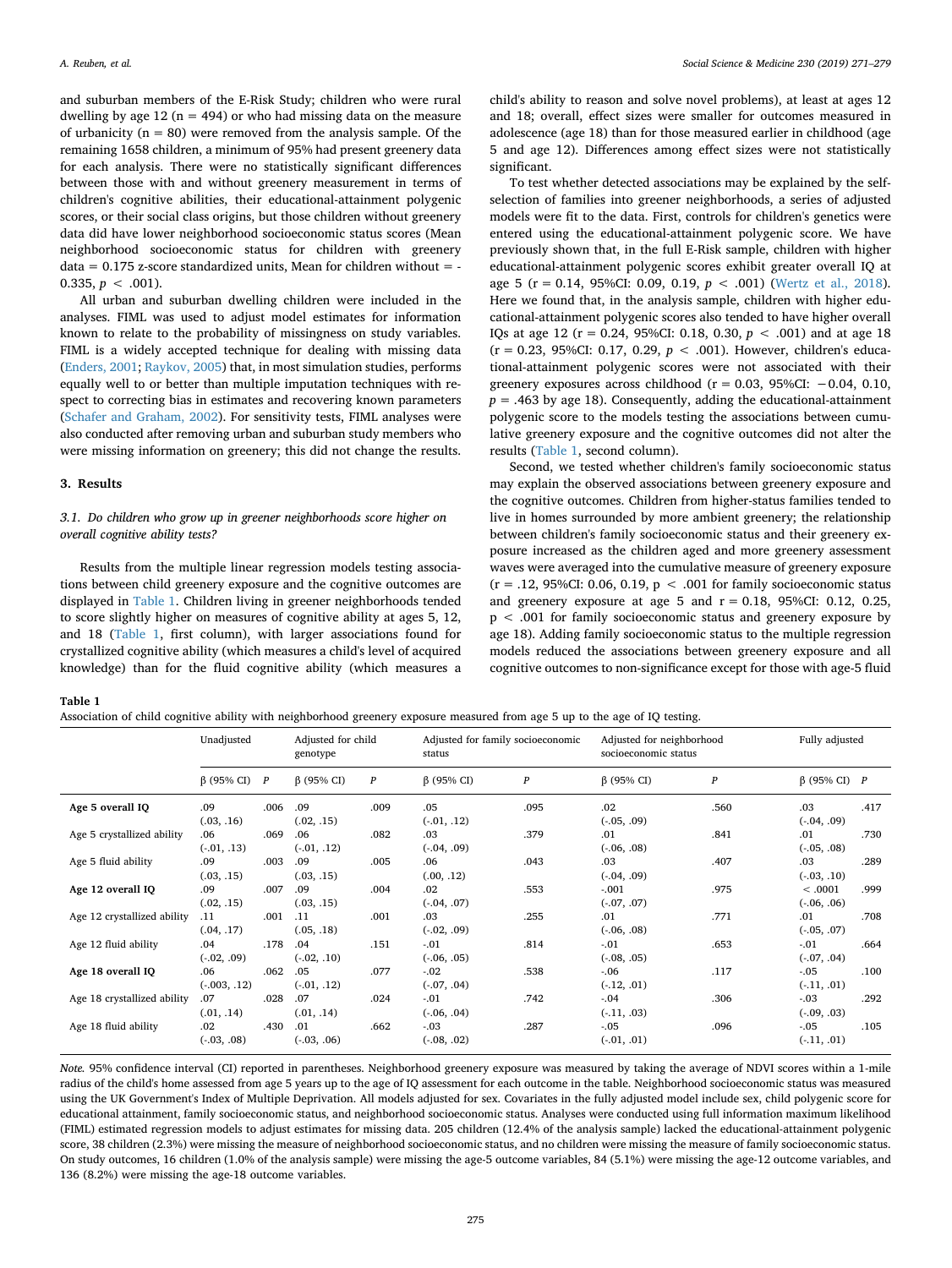and suburban members of the E-Risk Study; children who were rural dwelling by age 12 ( $n = 494$ ) or who had missing data on the measure of urbanicity ( $n = 80$ ) were removed from the analysis sample. Of the remaining 1658 children, a minimum of 95% had present greenery data for each analysis. There were no statistically significant differences between those with and without greenery measurement in terms of children's cognitive abilities, their educational-attainment polygenic scores, or their social class origins, but those children without greenery data did have lower neighborhood socioeconomic status scores (Mean neighborhood socioeconomic status for children with greenery data =  $0.175$  z-score standardized units. Mean for children without = -0.335,  $p < .001$ ).

All urban and suburban dwelling children were included in the analyses. FIML was used to adjust model estimates for information known to relate to the probability of missingness on study variables. FIML is a widely accepted technique for dealing with missing data ([Enders, 2001;](#page-8-44) [Raykov, 2005\)](#page-8-45) that, in most simulation studies, performs equally well to or better than multiple imputation techniques with respect to correcting bias in estimates and recovering known parameters ([Schafer and Graham, 2002](#page-8-46)). For sensitivity tests, FIML analyses were also conducted after removing urban and suburban study members who were missing information on greenery; this did not change the results.

# **3. Results**

# *3.1. Do children who grow up in greener neighborhoods score higher on overall cognitive ability tests?*

Results from the multiple linear regression models testing associations between child greenery exposure and the cognitive outcomes are displayed in [Table 1](#page-4-0). Children living in greener neighborhoods tended to score slightly higher on measures of cognitive ability at ages 5, 12, and 18 ([Table 1](#page-4-0), first column), with larger associations found for crystallized cognitive ability (which measures a child's level of acquired knowledge) than for the fluid cognitive ability (which measures a

child's ability to reason and solve novel problems), at least at ages 12 and 18; overall, effect sizes were smaller for outcomes measured in adolescence (age 18) than for those measured earlier in childhood (age 5 and age 12). Differences among effect sizes were not statistically significant.

To test whether detected associations may be explained by the selfselection of families into greener neighborhoods, a series of adjusted models were fit to the data. First, controls for children's genetics were entered using the educational-attainment polygenic score. We have previously shown that, in the full E-Risk sample, children with higher educational-attainment polygenic scores exhibit greater overall IQ at age 5 ( $r = 0.14$ , 95%CI; 0.09, 0.19,  $p < .001$ ) [\(Wertz et al., 2018](#page-8-41)). Here we found that, in the analysis sample, children with higher educational-attainment polygenic scores also tended to have higher overall IQs at age 12 (r = 0.24, 95%CI: 0.18, 0.30, *p* < .001) and at age 18 (r = 0.23, 95%CI: 0.17, 0.29, *p* < .001). However, children's educational-attainment polygenic scores were not associated with their greenery exposures across childhood ( $r = 0.03$ , 95%CI:  $-0.04$ , 0.10,  $p = .463$  by age 18). Consequently, adding the educational-attainment polygenic score to the models testing the associations between cumulative greenery exposure and the cognitive outcomes did not alter the results [\(Table 1,](#page-4-0) second column).

Second, we tested whether children's family socioeconomic status may explain the observed associations between greenery exposure and the cognitive outcomes. Children from higher-status families tended to live in homes surrounded by more ambient greenery; the relationship between children's family socioeconomic status and their greenery exposure increased as the children aged and more greenery assessment waves were averaged into the cumulative measure of greenery exposure  $(r = .12, 95\% CI: 0.06, 0.19, p < .001$  for family socioeconomic status and greenery exposure at age 5 and  $r = 0.18$ , 95%CI: 0.12, 0.25, p < .001 for family socioeconomic status and greenery exposure by age 18). Adding family socioeconomic status to the multiple regression models reduced the associations between greenery exposure and all cognitive outcomes to non-significance except for those with age-5 fluid

<span id="page-4-0"></span>**Table 1**

Association of child cognitive ability with neighborhood greenery exposure measured from age 5 up to the age of IQ testing.

|                             | Unadjusted             |      | Adjusted for child<br>genotype |      | Adjusted for family socioeconomic<br>status |                  | Adjusted for neighborhood<br>socioeconomic status |                  | Fully adjusted             |      |
|-----------------------------|------------------------|------|--------------------------------|------|---------------------------------------------|------------------|---------------------------------------------------|------------------|----------------------------|------|
|                             | $\beta$ (95% CI) $P$   |      | $\beta$ (95% CI)               | P    | $\beta$ (95% CI)                            | $\boldsymbol{P}$ | $\beta$ (95% CI)                                  | $\boldsymbol{P}$ | $\beta$ (95% CI) $P$       |      |
| Age 5 overall IQ            | .09<br>(.03, .16)      | .006 | .09<br>(.02, .15)              | .009 | .05<br>$(-.01, .12)$                        | .095             | .02<br>$(-0.05, 0.09)$                            | .560             | .03<br>$(-0.04, 0.09)$     | .417 |
| Age 5 crystallized ability  | .06<br>$(-0.01, 0.13)$ | .069 | .06<br>$(-01, .12)$            | .082 | .03<br>$(-0.04, 0.09)$                      | .379             | .01<br>$(-0.06, 0.08)$                            | .841             | .01<br>$(-0.05, 0.08)$     | .730 |
| Age 5 fluid ability         | .09<br>(.03, .15)      | .003 | .09<br>(.03, .15)              | .005 | .06<br>(.00, .12)                           | .043             | .03<br>$(-.04, .09)$                              | .407             | .03<br>$(-0.03, 0.10)$     | .289 |
| Age 12 overall IQ           | .09<br>(.02, .15)      | .007 | .09<br>(.03, .15)              | .004 | .02<br>$(-.04, .07)$                        | .553             | $-.001$<br>$(-.07, .07)$                          | .975             | < .0001<br>$(-0.06, 0.06)$ | .999 |
| Age 12 crystallized ability | .11<br>(.04, .17)      | .001 | .11<br>(.05, .18)              | .001 | .03<br>$(-0.02, 0.09)$                      | .255             | .01<br>$(-.06, .08)$                              | .771             | .01<br>$(-0.05, 0.07)$     | .708 |
| Age 12 fluid ability        | .04<br>$(-.02, .09)$   | .178 | .04<br>$(-.02, .10)$           | .151 | $-.01$<br>$(-.06, .05)$                     | .814             | $-.01$<br>$(-.08, .05)$                           | .653             | $-.01$<br>$(-07, .04)$     | .664 |
| Age 18 overall IQ           | .06<br>$(-0.003, .12)$ | .062 | .05<br>$(-01, .12)$            | .077 | $-0.02$<br>$(-.07, .04)$                    | .538             | $-0.06$<br>$(-.12, .01)$                          | .117             | $-.05$<br>$(-.11, .01)$    | .100 |
| Age 18 crystallized ability | .07<br>(.01, .14)      | .028 | .07<br>(.01, .14)              | .024 | $-.01$<br>$(-0.06, 0.04)$                   | .742             | $-0.04$<br>$(-.11, .03)$                          | .306             | $-.03$<br>$(-0.09, 0.03)$  | .292 |
| Age 18 fluid ability        | .02<br>$(-.03, .08)$   | .430 | .01<br>$(-0.03, 0.06)$         | .662 | $-.03$<br>$(-.08, .02)$                     | .287             | $-0.05$<br>$(-.01, .01)$                          | .096             | $-.05$<br>$(-.11, .01)$    | .105 |

*Note.* 95% confidence interval (CI) reported in parentheses. Neighborhood greenery exposure was measured by taking the average of NDVI scores within a 1-mile radius of the child's home assessed from age 5 years up to the age of IQ assessment for each outcome in the table. Neighborhood socioeconomic status was measured using the UK Government's Index of Multiple Deprivation. All models adjusted for sex. Covariates in the fully adjusted model include sex, child polygenic score for educational attainment, family socioeconomic status, and neighborhood socioeconomic status. Analyses were conducted using full information maximum likelihood (FIML) estimated regression models to adjust estimates for missing data. 205 children (12.4% of the analysis sample) lacked the educational-attainment polygenic score, 38 children (2.3%) were missing the measure of neighborhood socioeconomic status, and no children were missing the measure of family socioeconomic status. On study outcomes, 16 children (1.0% of the analysis sample) were missing the age-5 outcome variables, 84 (5.1%) were missing the age-12 outcome variables, and 136 (8.2%) were missing the age-18 outcome variables.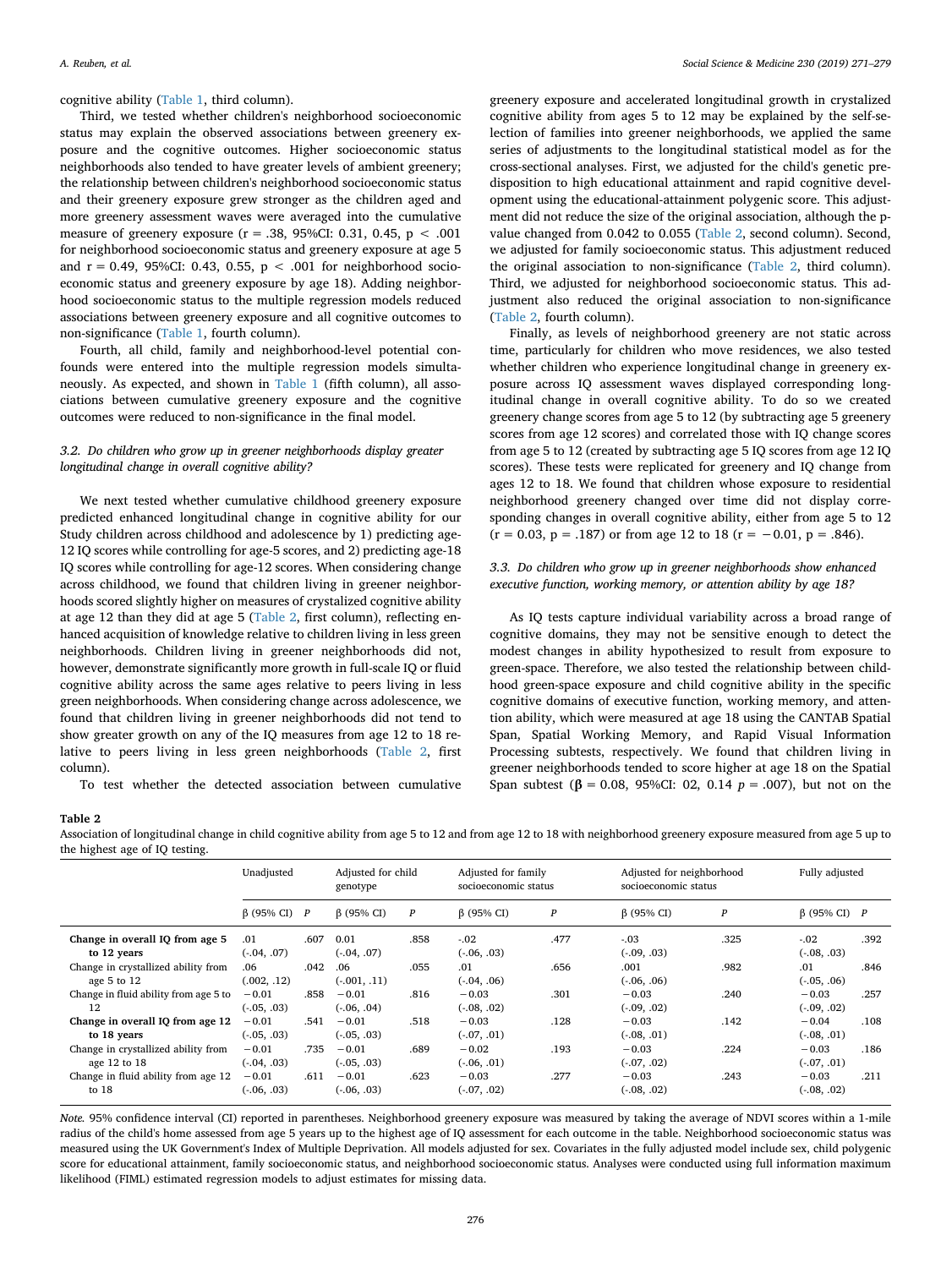cognitive ability ([Table 1,](#page-4-0) third column).

Third, we tested whether children's neighborhood socioeconomic status may explain the observed associations between greenery exposure and the cognitive outcomes. Higher socioeconomic status neighborhoods also tended to have greater levels of ambient greenery; the relationship between children's neighborhood socioeconomic status and their greenery exposure grew stronger as the children aged and more greenery assessment waves were averaged into the cumulative measure of greenery exposure ( $r = .38$ , 95%CI: 0.31, 0.45,  $p < .001$ for neighborhood socioeconomic status and greenery exposure at age 5 and  $r = 0.49$ , 95%CI: 0.43, 0.55,  $p < .001$  for neighborhood socioeconomic status and greenery exposure by age 18). Adding neighborhood socioeconomic status to the multiple regression models reduced associations between greenery exposure and all cognitive outcomes to non-significance ([Table 1,](#page-4-0) fourth column).

Fourth, all child, family and neighborhood-level potential confounds were entered into the multiple regression models simultaneously. As expected, and shown in [Table 1](#page-4-0) (fifth column), all associations between cumulative greenery exposure and the cognitive outcomes were reduced to non-significance in the final model.

# *3.2. Do children who grow up in greener neighborhoods display greater longitudinal change in overall cognitive ability?*

We next tested whether cumulative childhood greenery exposure predicted enhanced longitudinal change in cognitive ability for our Study children across childhood and adolescence by 1) predicting age-12 IQ scores while controlling for age-5 scores, and 2) predicting age-18 IQ scores while controlling for age-12 scores. When considering change across childhood, we found that children living in greener neighborhoods scored slightly higher on measures of crystalized cognitive ability at age 12 than they did at age 5 ([Table 2,](#page-5-0) first column), reflecting enhanced acquisition of knowledge relative to children living in less green neighborhoods. Children living in greener neighborhoods did not, however, demonstrate significantly more growth in full-scale IQ or fluid cognitive ability across the same ages relative to peers living in less green neighborhoods. When considering change across adolescence, we found that children living in greener neighborhoods did not tend to show greater growth on any of the IQ measures from age 12 to 18 relative to peers living in less green neighborhoods [\(Table 2](#page-5-0), first column).

To test whether the detected association between cumulative

greenery exposure and accelerated longitudinal growth in crystalized cognitive ability from ages 5 to 12 may be explained by the self-selection of families into greener neighborhoods, we applied the same series of adjustments to the longitudinal statistical model as for the cross-sectional analyses. First, we adjusted for the child's genetic predisposition to high educational attainment and rapid cognitive development using the educational-attainment polygenic score. This adjustment did not reduce the size of the original association, although the pvalue changed from 0.042 to 0.055 ([Table 2,](#page-5-0) second column). Second, we adjusted for family socioeconomic status. This adjustment reduced the original association to non-significance [\(Table 2,](#page-5-0) third column). Third, we adjusted for neighborhood socioeconomic status. This adjustment also reduced the original association to non-significance ([Table 2](#page-5-0), fourth column).

Finally, as levels of neighborhood greenery are not static across time, particularly for children who move residences, we also tested whether children who experience longitudinal change in greenery exposure across IQ assessment waves displayed corresponding longitudinal change in overall cognitive ability. To do so we created greenery change scores from age 5 to 12 (by subtracting age 5 greenery scores from age 12 scores) and correlated those with IQ change scores from age 5 to 12 (created by subtracting age 5 IQ scores from age 12 IQ scores). These tests were replicated for greenery and IQ change from ages 12 to 18. We found that children whose exposure to residential neighborhood greenery changed over time did not display corresponding changes in overall cognitive ability, either from age 5 to 12  $(r = 0.03, p = .187)$  or from age 12 to 18  $(r = -0.01, p = .846)$ .

# *3.3. Do children who grow up in greener neighborhoods show enhanced executive function, working memory, or attention ability by age 18?*

As IQ tests capture individual variability across a broad range of cognitive domains, they may not be sensitive enough to detect the modest changes in ability hypothesized to result from exposure to green-space. Therefore, we also tested the relationship between childhood green-space exposure and child cognitive ability in the specific cognitive domains of executive function, working memory, and attention ability, which were measured at age 18 using the CANTAB Spatial Span, Spatial Working Memory, and Rapid Visual Information Processing subtests, respectively. We found that children living in greener neighborhoods tended to score higher at age 18 on the Spatial Span subtest ( $\beta$  = 0.08, 95%CI: 02, 0.14 *p* = .007), but not on the

#### <span id="page-5-0"></span>**Table 2**

Association of longitudinal change in child cognitive ability from age 5 to 12 and from age 12 to 18 with neighborhood greenery exposure measured from age 5 up to the highest age of IQ testing.

|                                                     | Unadjusted               |      | Adjusted for child<br>genotype |                  | Adjusted for family<br>socioeconomic status |                  | Adjusted for neighborhood<br>socioeconomic status |                  | Fully adjusted             |      |
|-----------------------------------------------------|--------------------------|------|--------------------------------|------------------|---------------------------------------------|------------------|---------------------------------------------------|------------------|----------------------------|------|
|                                                     | $\beta$ (95% CI) $P$     |      | $\beta$ (95% CI)               | $\boldsymbol{P}$ | $\beta$ (95% CI)                            | $\boldsymbol{P}$ | $\beta$ (95% CI)                                  | $\boldsymbol{P}$ | $\beta$ (95% CI) $P$       |      |
| Change in overall IQ from age 5<br>to 12 years      | .01<br>$(-.04, .07)$     | .607 | 0.01<br>$(-.04, .07)$          | .858             | $-.02$<br>$(-.06, .03)$                     | .477             | $-.03$<br>$(-.09, .03)$                           | .325             | $-.02$<br>$(-.08, .03)$    | .392 |
| Change in crystallized ability from<br>age 5 to 12  | .06<br>(.002, .12)       | .042 | .06<br>$(-001, .11)$           | .055             | .01<br>$(-.04, .06)$                        | .656             | .001<br>$(-.06, .06)$                             | .982             | .01<br>$(-.05, .06)$       | .846 |
| Change in fluid ability from age 5 to<br>12         | $-0.01$<br>$(-.05, .03)$ | .858 | $-0.01$<br>$(-.06, .04)$       | .816             | $-0.03$<br>$(-.08, .02)$                    | .301             | $-0.03$<br>$(-.09, .02)$                          | .240             | $-0.03$<br>$(-.09, .02)$   | .257 |
| Change in overall IQ from age 12<br>to 18 years     | $-0.01$<br>$(-.05, .03)$ | .541 | $-0.01$<br>$(-0.05, 0.03)$     | .518             | $-0.03$<br>$(-0.07, 0.01)$                  | .128             | $-0.03$<br>$(-.08, .01)$                          | .142             | $-0.04$<br>$(-.08, .01)$   | .108 |
| Change in crystallized ability from<br>age 12 to 18 | $-0.01$<br>$(-.04, .03)$ | .735 | $-0.01$<br>$(-0.05, 0.03)$     | .689             | $-0.02$<br>$(-.06, .01)$                    | .193             | $-0.03$<br>$(-0.07, 0.02)$                        | .224             | $-0.03$<br>$(-07, 01)$     | .186 |
| Change in fluid ability from age 12<br>to 18        | $-0.01$<br>$(-.06, .03)$ | .611 | $-0.01$<br>$(-0.06, 0.03)$     | .623             | $-0.03$<br>$(-07, .02)$                     | .277             | $-0.03$<br>$(-.08, .02)$                          | .243             | $-0.03$<br>$(-0.08, 0.02)$ | .211 |

*Note.* 95% confidence interval (CI) reported in parentheses. Neighborhood greenery exposure was measured by taking the average of NDVI scores within a 1-mile radius of the child's home assessed from age 5 years up to the highest age of IQ assessment for each outcome in the table. Neighborhood socioeconomic status was measured using the UK Government's Index of Multiple Deprivation. All models adjusted for sex. Covariates in the fully adjusted model include sex, child polygenic score for educational attainment, family socioeconomic status, and neighborhood socioeconomic status. Analyses were conducted using full information maximum likelihood (FIML) estimated regression models to adjust estimates for missing data.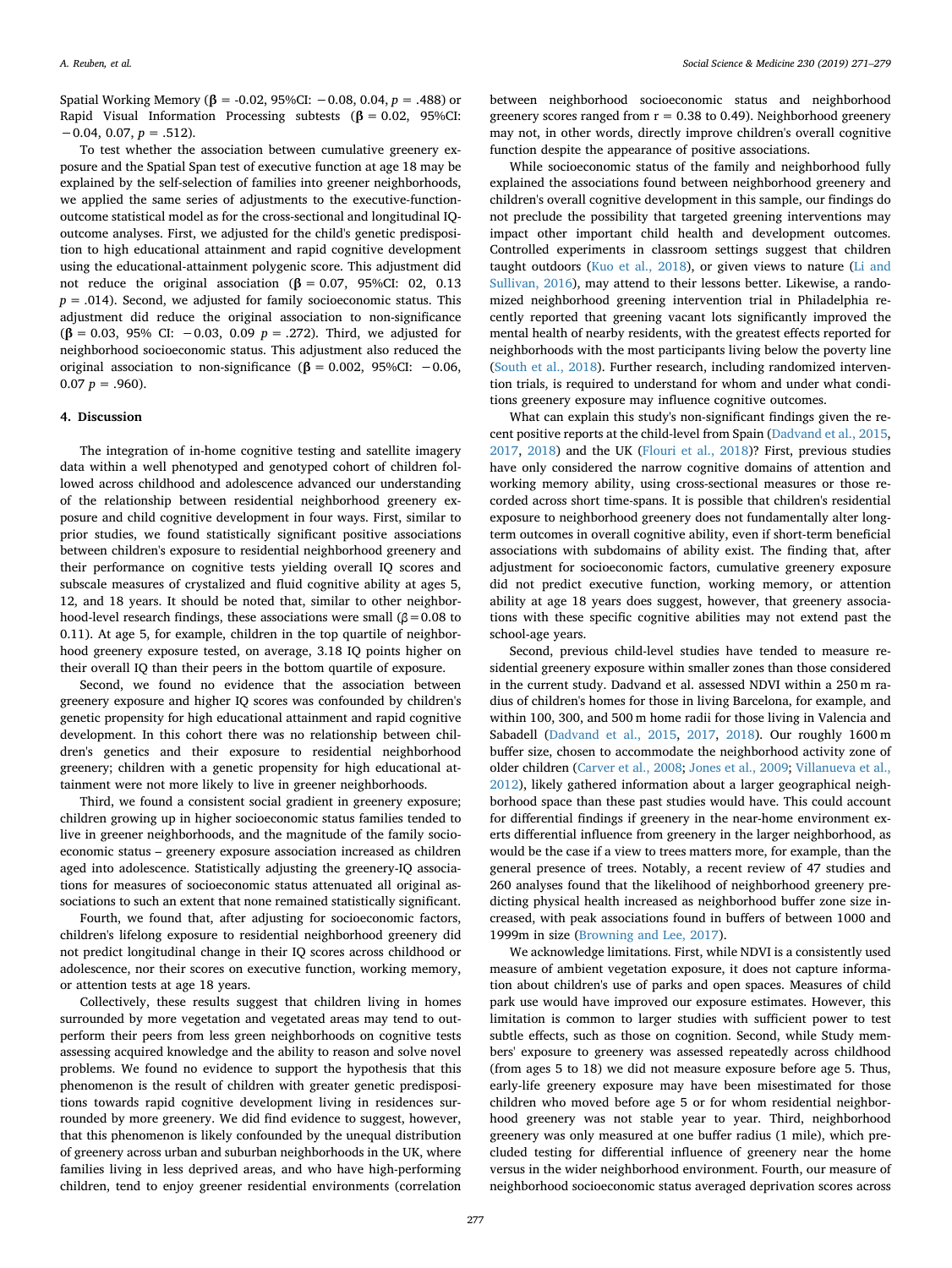Spatial Working Memory (**β** = -0.02, 95%CI: −0.08, 0.04, *p* = .488) or Rapid Visual Information Processing subtests (**β** = 0.02, 95%CI: −0.04, 0.07, *p* = .512).

To test whether the association between cumulative greenery exposure and the Spatial Span test of executive function at age 18 may be explained by the self-selection of families into greener neighborhoods, we applied the same series of adjustments to the executive-functionoutcome statistical model as for the cross-sectional and longitudinal IQoutcome analyses. First, we adjusted for the child's genetic predisposition to high educational attainment and rapid cognitive development using the educational-attainment polygenic score. This adjustment did not reduce the original association (**β** = 0.07, 95%CI: 02, 0.13  $p = .014$ ). Second, we adjusted for family socioeconomic status. This adjustment did reduce the original association to non-significance (**β** = 0.03, 95% CI: −0.03, 0.09 *p* = .272). Third, we adjusted for neighborhood socioeconomic status. This adjustment also reduced the original association to non-significance ( $\beta = 0.002$ , 95%CI: -0.06,  $0.07 p = .960$ ).

#### **4. Discussion**

The integration of in-home cognitive testing and satellite imagery data within a well phenotyped and genotyped cohort of children followed across childhood and adolescence advanced our understanding of the relationship between residential neighborhood greenery exposure and child cognitive development in four ways. First, similar to prior studies, we found statistically significant positive associations between children's exposure to residential neighborhood greenery and their performance on cognitive tests yielding overall IQ scores and subscale measures of crystalized and fluid cognitive ability at ages 5, 12, and 18 years. It should be noted that, similar to other neighborhood-level research findings, these associations were small ( $\beta$  = 0.08 to 0.11). At age 5, for example, children in the top quartile of neighborhood greenery exposure tested, on average, 3.18 IQ points higher on their overall IQ than their peers in the bottom quartile of exposure.

Second, we found no evidence that the association between greenery exposure and higher IQ scores was confounded by children's genetic propensity for high educational attainment and rapid cognitive development. In this cohort there was no relationship between children's genetics and their exposure to residential neighborhood greenery; children with a genetic propensity for high educational attainment were not more likely to live in greener neighborhoods.

Third, we found a consistent social gradient in greenery exposure; children growing up in higher socioeconomic status families tended to live in greener neighborhoods, and the magnitude of the family socioeconomic status – greenery exposure association increased as children aged into adolescence. Statistically adjusting the greenery-IQ associations for measures of socioeconomic status attenuated all original associations to such an extent that none remained statistically significant.

Fourth, we found that, after adjusting for socioeconomic factors, children's lifelong exposure to residential neighborhood greenery did not predict longitudinal change in their IQ scores across childhood or adolescence, nor their scores on executive function, working memory, or attention tests at age 18 years.

Collectively, these results suggest that children living in homes surrounded by more vegetation and vegetated areas may tend to outperform their peers from less green neighborhoods on cognitive tests assessing acquired knowledge and the ability to reason and solve novel problems. We found no evidence to support the hypothesis that this phenomenon is the result of children with greater genetic predispositions towards rapid cognitive development living in residences surrounded by more greenery. We did find evidence to suggest, however, that this phenomenon is likely confounded by the unequal distribution of greenery across urban and suburban neighborhoods in the UK, where families living in less deprived areas, and who have high-performing children, tend to enjoy greener residential environments (correlation between neighborhood socioeconomic status and neighborhood greenery scores ranged from  $r = 0.38$  to 0.49). Neighborhood greenery may not, in other words, directly improve children's overall cognitive function despite the appearance of positive associations.

While socioeconomic status of the family and neighborhood fully explained the associations found between neighborhood greenery and children's overall cognitive development in this sample, our findings do not preclude the possibility that targeted greening interventions may impact other important child health and development outcomes. Controlled experiments in classroom settings suggest that children taught outdoors [\(Kuo et al., 2018\)](#page-8-7), or given views to nature ([Li and](#page-8-21) [Sullivan, 2016](#page-8-21)), may attend to their lessons better. Likewise, a randomized neighborhood greening intervention trial in Philadelphia recently reported that greening vacant lots significantly improved the mental health of nearby residents, with the greatest effects reported for neighborhoods with the most participants living below the poverty line ([South et al., 2018\)](#page-8-47). Further research, including randomized intervention trials, is required to understand for whom and under what conditions greenery exposure may influence cognitive outcomes.

What can explain this study's non-significant findings given the recent positive reports at the child-level from Spain [\(Dadvand et al., 2015](#page-7-1), [2017,](#page-7-2) [2018](#page-7-3)) and the UK [\(Flouri et al., 2018](#page-8-5))? First, previous studies have only considered the narrow cognitive domains of attention and working memory ability, using cross-sectional measures or those recorded across short time-spans. It is possible that children's residential exposure to neighborhood greenery does not fundamentally alter longterm outcomes in overall cognitive ability, even if short-term beneficial associations with subdomains of ability exist. The finding that, after adjustment for socioeconomic factors, cumulative greenery exposure did not predict executive function, working memory, or attention ability at age 18 years does suggest, however, that greenery associations with these specific cognitive abilities may not extend past the school-age years.

Second, previous child-level studies have tended to measure residential greenery exposure within smaller zones than those considered in the current study. Dadvand et al. assessed NDVI within a 250 m radius of children's homes for those in living Barcelona, for example, and within 100, 300, and 500 m home radii for those living in Valencia and Sabadell ([Dadvand et al., 2015](#page-7-1), [2017,](#page-7-2) [2018](#page-7-3)). Our roughly 1600 m buffer size, chosen to accommodate the neighborhood activity zone of older children [\(Carver et al., 2008;](#page-7-10) [Jones et al., 2009](#page-8-32); [Villanueva et al.,](#page-8-33) [2012\)](#page-8-33), likely gathered information about a larger geographical neighborhood space than these past studies would have. This could account for differential findings if greenery in the near-home environment exerts differential influence from greenery in the larger neighborhood, as would be the case if a view to trees matters more, for example, than the general presence of trees. Notably, a recent review of 47 studies and 260 analyses found that the likelihood of neighborhood greenery predicting physical health increased as neighborhood buffer zone size increased, with peak associations found in buffers of between 1000 and 1999m in size [\(Browning and Lee, 2017\)](#page-7-15).

We acknowledge limitations. First, while NDVI is a consistently used measure of ambient vegetation exposure, it does not capture information about children's use of parks and open spaces. Measures of child park use would have improved our exposure estimates. However, this limitation is common to larger studies with sufficient power to test subtle effects, such as those on cognition. Second, while Study members' exposure to greenery was assessed repeatedly across childhood (from ages 5 to 18) we did not measure exposure before age 5. Thus, early-life greenery exposure may have been misestimated for those children who moved before age 5 or for whom residential neighborhood greenery was not stable year to year. Third, neighborhood greenery was only measured at one buffer radius (1 mile), which precluded testing for differential influence of greenery near the home versus in the wider neighborhood environment. Fourth, our measure of neighborhood socioeconomic status averaged deprivation scores across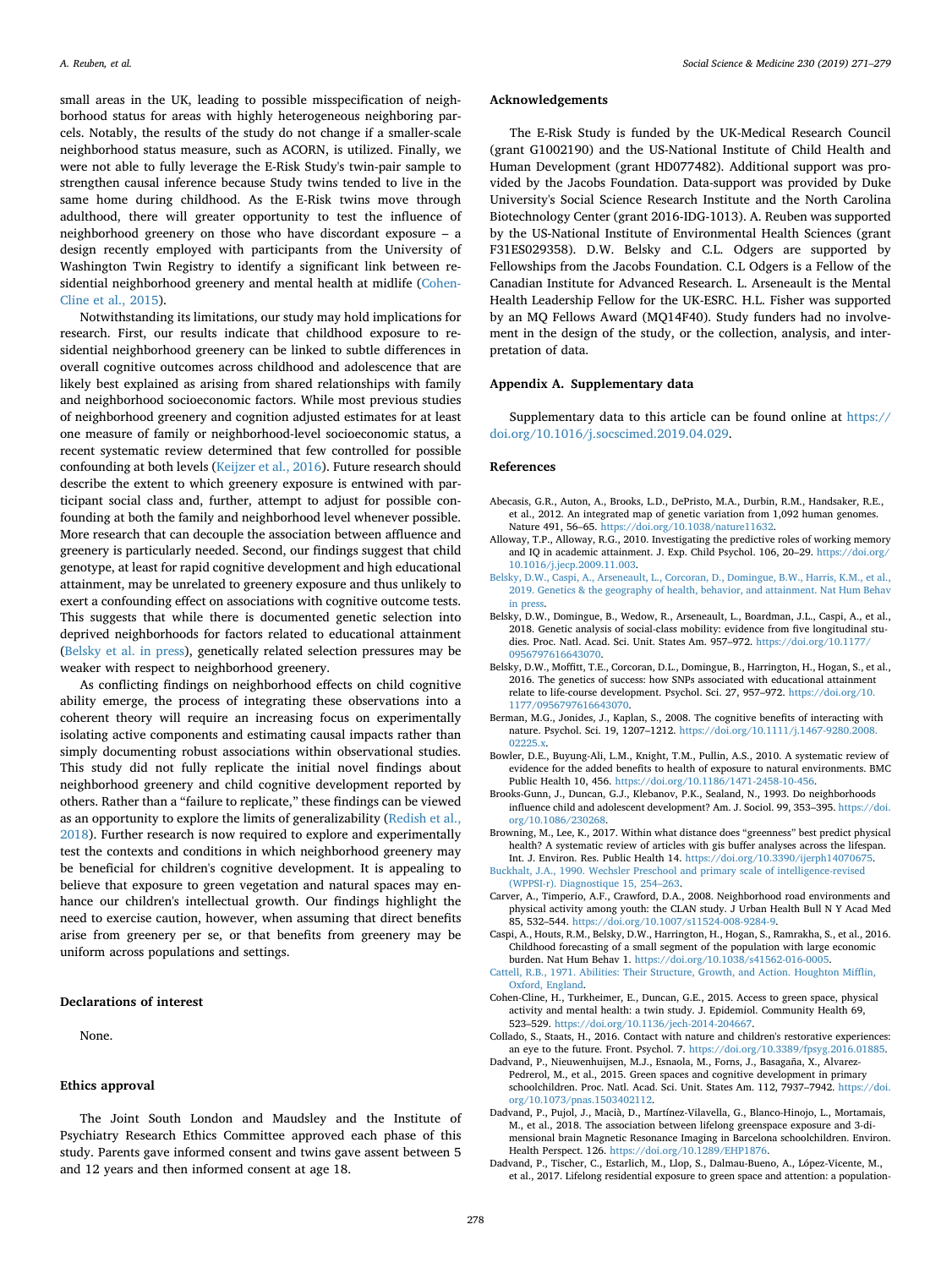small areas in the UK, leading to possible misspecification of neighborhood status for areas with highly heterogeneous neighboring parcels. Notably, the results of the study do not change if a smaller-scale neighborhood status measure, such as ACORN, is utilized. Finally, we were not able to fully leverage the E-Risk Study's twin-pair sample to strengthen causal inference because Study twins tended to live in the same home during childhood. As the E-Risk twins move through adulthood, there will greater opportunity to test the influence of neighborhood greenery on those who have discordant exposure – a design recently employed with participants from the University of Washington Twin Registry to identify a significant link between re-sidential neighborhood greenery and mental health at midlife ([Cohen-](#page-7-16)[Cline et al., 2015](#page-7-16)).

Notwithstanding its limitations, our study may hold implications for research. First, our results indicate that childhood exposure to residential neighborhood greenery can be linked to subtle differences in overall cognitive outcomes across childhood and adolescence that are likely best explained as arising from shared relationships with family and neighborhood socioeconomic factors. While most previous studies of neighborhood greenery and cognition adjusted estimates for at least one measure of family or neighborhood-level socioeconomic status, a recent systematic review determined that few controlled for possible confounding at both levels [\(Keijzer et al., 2016](#page-8-12)). Future research should describe the extent to which greenery exposure is entwined with participant social class and, further, attempt to adjust for possible confounding at both the family and neighborhood level whenever possible. More research that can decouple the association between affluence and greenery is particularly needed. Second, our findings suggest that child genotype, at least for rapid cognitive development and high educational attainment, may be unrelated to greenery exposure and thus unlikely to exert a confounding effect on associations with cognitive outcome tests. This suggests that while there is documented genetic selection into deprived neighborhoods for factors related to educational attainment ([Belsky et al. in press](#page-7-17)), genetically related selection pressures may be weaker with respect to neighborhood greenery.

As conflicting findings on neighborhood effects on child cognitive ability emerge, the process of integrating these observations into a coherent theory will require an increasing focus on experimentally isolating active components and estimating causal impacts rather than simply documenting robust associations within observational studies. This study did not fully replicate the initial novel findings about neighborhood greenery and child cognitive development reported by others. Rather than a "failure to replicate," these findings can be viewed as an opportunity to explore the limits of generalizability [\(Redish et al.,](#page-8-48) [2018\)](#page-8-48). Further research is now required to explore and experimentally test the contexts and conditions in which neighborhood greenery may be beneficial for children's cognitive development. It is appealing to believe that exposure to green vegetation and natural spaces may enhance our children's intellectual growth. Our findings highlight the need to exercise caution, however, when assuming that direct benefits arise from greenery per se, or that benefits from greenery may be uniform across populations and settings.

# **Declarations of interest**

None.

# **Ethics approval**

The Joint South London and Maudsley and the Institute of Psychiatry Research Ethics Committee approved each phase of this study. Parents gave informed consent and twins gave assent between 5 and 12 years and then informed consent at age 18.

#### **Acknowledgements**

The E-Risk Study is funded by the UK-Medical Research Council (grant G1002190) and the US-National Institute of Child Health and Human Development (grant HD077482). Additional support was provided by the Jacobs Foundation. Data-support was provided by Duke University's Social Science Research Institute and the North Carolina Biotechnology Center (grant 2016-IDG-1013). A. Reuben was supported by the US-National Institute of Environmental Health Sciences (grant F31ES029358). D.W. Belsky and C.L. Odgers are supported by Fellowships from the Jacobs Foundation. C.L Odgers is a Fellow of the Canadian Institute for Advanced Research. L. Arseneault is the Mental Health Leadership Fellow for the UK-ESRC. H.L. Fisher was supported by an MQ Fellows Award (MQ14F40). Study funders had no involvement in the design of the study, or the collection, analysis, and interpretation of data.

# **Appendix A. Supplementary data**

Supplementary data to this article can be found online at [https://](https://doi.org/10.1016/j.socscimed.2019.04.029) [doi.org/10.1016/j.socscimed.2019.04.029](https://doi.org/10.1016/j.socscimed.2019.04.029).

#### **References**

- <span id="page-7-14"></span>Abecasis, G.R., Auton, A., Brooks, L.D., DePristo, M.A., Durbin, R.M., Handsaker, R.E., et al., 2012. An integrated map of genetic variation from 1,092 human genomes. Nature 491, 56–65. <https://doi.org/10.1038/nature11632>.
- <span id="page-7-8"></span>Alloway, T.P., Alloway, R.G., 2010. Investigating the predictive roles of working memory and IQ in academic attainment. J. Exp. Child Psychol. 106, 20–29. [https://doi.org/](https://doi.org/10.1016/j.jecp.2009.11.003) [10.1016/j.jecp.2009.11.003.](https://doi.org/10.1016/j.jecp.2009.11.003)
- <span id="page-7-17"></span>[Belsky, D.W., Caspi, A., Arseneault, L., Corcoran, D., Domingue, B.W., Harris, K.M., et al.,](http://refhub.elsevier.com/S0277-9536(19)30229-1/sref3) [2019. Genetics & the geography of health, behavior, and attainment. Nat Hum Behav](http://refhub.elsevier.com/S0277-9536(19)30229-1/sref3) [in press](http://refhub.elsevier.com/S0277-9536(19)30229-1/sref3).
- <span id="page-7-13"></span>Belsky, D.W., Domingue, B., Wedow, R., Arseneault, L., Boardman, J.L., Caspi, A., et al., 2018. Genetic analysis of social-class mobility: evidence from five longitudinal studies. Proc. Natl. Acad. Sci. Unit. States Am. 957-972. [https://doi.org/10.1177/](https://doi.org/10.1177/0956797616643070) [0956797616643070.](https://doi.org/10.1177/0956797616643070)
- <span id="page-7-12"></span>Belsky, D.W., Moffitt, T.E., Corcoran, D.L., Domingue, B., Harrington, H., Hogan, S., et al., 2016. The genetics of success: how SNPs associated with educational attainment relate to life-course development. Psychol. Sci. 27, 957–972. [https://doi.org/10.](https://doi.org/10.1177/0956797616643070) [1177/0956797616643070](https://doi.org/10.1177/0956797616643070).
- <span id="page-7-6"></span>Berman, M.G., Jonides, J., Kaplan, S., 2008. The cognitive benefits of interacting with nature. Psychol. Sci. 19, 1207–1212. [https://doi.org/10.1111/j.1467-9280.2008.](https://doi.org/10.1111/j.1467-9280.2008.02225.x) [02225.x.](https://doi.org/10.1111/j.1467-9280.2008.02225.x)
- <span id="page-7-5"></span>Bowler, D.E., Buyung-Ali, L.M., Knight, T.M., Pullin, A.S., 2010. A systematic review of evidence for the added benefits to health of exposure to natural environments. BMC Public Health 10, 456. [https://doi.org/10.1186/1471-2458-10-456.](https://doi.org/10.1186/1471-2458-10-456)
- <span id="page-7-0"></span>Brooks-Gunn, J., Duncan, G.J., Klebanov, P.K., Sealand, N., 1993. Do neighborhoods influence child and adolescent development? Am. J. Sociol. 99, 353–395. [https://doi.](https://doi.org/10.1086/230268) [org/10.1086/230268.](https://doi.org/10.1086/230268)
- <span id="page-7-15"></span>Browning, M., Lee, K., 2017. Within what distance does "greenness" best predict physical health? A systematic review of articles with gis buffer analyses across the lifespan. Int. J. Environ. Res. Public Health 14. <https://doi.org/10.3390/ijerph14070675>.
- <span id="page-7-11"></span>[Buckhalt, J.A., 1990. Wechsler Preschool and primary scale of intelligence-revised](http://refhub.elsevier.com/S0277-9536(19)30229-1/sref10) [\(WPPSI-r\). Diagnostique 15, 254–263](http://refhub.elsevier.com/S0277-9536(19)30229-1/sref10).
- <span id="page-7-10"></span>Carver, A., Timperio, A.F., Crawford, D.A., 2008. Neighborhood road environments and physical activity among youth: the CLAN study. J Urban Health Bull N Y Acad Med 85, 532–544. <https://doi.org/10.1007/s11524-008-9284-9>.
- <span id="page-7-9"></span>Caspi, A., Houts, R.M., Belsky, D.W., Harrington, H., Hogan, S., Ramrakha, S., et al., 2016. Childhood forecasting of a small segment of the population with large economic burden. Nat Hum Behav 1. [https://doi.org/10.1038/s41562-016-0005.](https://doi.org/10.1038/s41562-016-0005)
- <span id="page-7-7"></span>[Cattell, R.B., 1971. Abilities: Their Structure, Growth, and Action. Houghton Mifflin,](http://refhub.elsevier.com/S0277-9536(19)30229-1/sref13) [Oxford, England](http://refhub.elsevier.com/S0277-9536(19)30229-1/sref13).
- <span id="page-7-16"></span>Cohen-Cline, H., Turkheimer, E., Duncan, G.E., 2015. Access to green space, physical activity and mental health: a twin study. J. Epidemiol. Community Health 69, 523–529. [https://doi.org/10.1136/jech-2014-204667.](https://doi.org/10.1136/jech-2014-204667)
- <span id="page-7-4"></span>Collado, S., Staats, H., 2016. Contact with nature and children's restorative experiences: an eye to the future. Front. Psychol. 7. [https://doi.org/10.3389/fpsyg.2016.01885.](https://doi.org/10.3389/fpsyg.2016.01885)
- <span id="page-7-1"></span>Dadvand, P., Nieuwenhuijsen, M.J., Esnaola, M., Forns, J., Basagaña, X., Alvarez-Pedrerol, M., et al., 2015. Green spaces and cognitive development in primary schoolchildren. Proc. Natl. Acad. Sci. Unit. States Am. 112, 7937–7942. [https://doi.](https://doi.org/10.1073/pnas.1503402112) [org/10.1073/pnas.1503402112](https://doi.org/10.1073/pnas.1503402112).
- <span id="page-7-3"></span>Dadvand, P., Pujol, J., Macià, D., Martínez-Vilavella, G., Blanco-Hinojo, L., Mortamais, M., et al., 2018. The association between lifelong greenspace exposure and 3-dimensional brain Magnetic Resonance Imaging in Barcelona schoolchildren. Environ. Health Perspect. 126. <https://doi.org/10.1289/EHP1876>.
- <span id="page-7-2"></span>Dadvand, P., Tischer, C., Estarlich, M., Llop, S., Dalmau-Bueno, A., López-Vicente, M., et al., 2017. Lifelong residential exposure to green space and attention: a population-